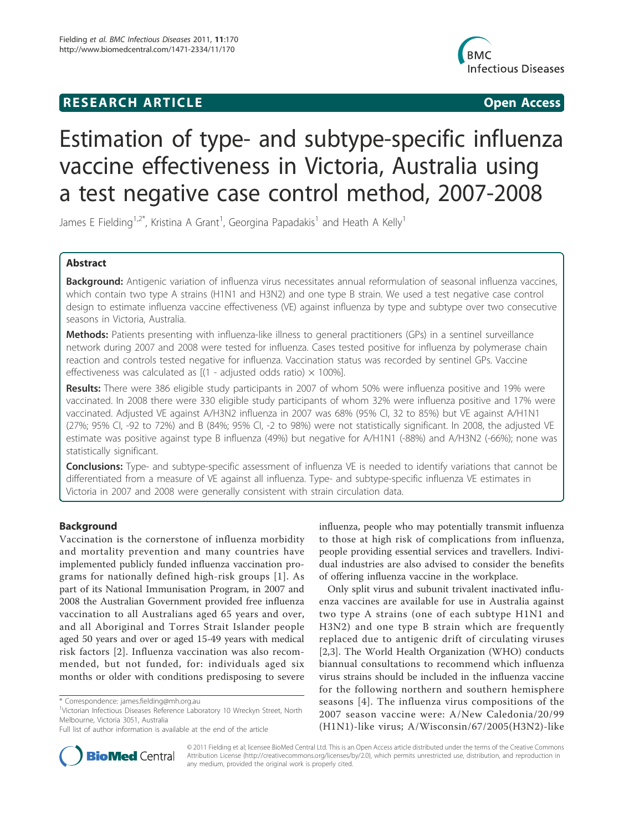# **RESEARCH ARTICLE Example 2018 CONSIDERING ACCESS**



# Estimation of type- and subtype-specific influenza vaccine effectiveness in Victoria, Australia using a test negative case control method, 2007-2008

James E Fielding $^{1,2^{\ast}}$ , Kristina A Grant $^{1}$ , Georgina Papadakis $^{1}$  and Heath A Kelly $^{1}$ 

# Abstract

Background: Antigenic variation of influenza virus necessitates annual reformulation of seasonal influenza vaccines, which contain two type A strains (H1N1 and H3N2) and one type B strain. We used a test negative case control design to estimate influenza vaccine effectiveness (VE) against influenza by type and subtype over two consecutive seasons in Victoria, Australia.

Methods: Patients presenting with influenza-like illness to general practitioners (GPs) in a sentinel surveillance network during 2007 and 2008 were tested for influenza. Cases tested positive for influenza by polymerase chain reaction and controls tested negative for influenza. Vaccination status was recorded by sentinel GPs. Vaccine effectiveness was calculated as  $[(1 - \text{adjusted odds ratio}) \times 100\%]$ .

Results: There were 386 eligible study participants in 2007 of whom 50% were influenza positive and 19% were vaccinated. In 2008 there were 330 eligible study participants of whom 32% were influenza positive and 17% were vaccinated. Adjusted VE against A/H3N2 influenza in 2007 was 68% (95% CI, 32 to 85%) but VE against A/H1N1 (27%; 95% CI, -92 to 72%) and B (84%; 95% CI, -2 to 98%) were not statistically significant. In 2008, the adjusted VE estimate was positive against type B influenza (49%) but negative for A/H1N1 (-88%) and A/H3N2 (-66%); none was statistically significant.

**Conclusions:** Type- and subtype-specific assessment of influenza VE is needed to identify variations that cannot be differentiated from a measure of VE against all influenza. Type- and subtype-specific influenza VE estimates in Victoria in 2007 and 2008 were generally consistent with strain circulation data.

# **Background**

Vaccination is the cornerstone of influenza morbidity and mortality prevention and many countries have implemented publicly funded influenza vaccination programs for nationally defined high-risk groups [1]. As part of its National Immunisation Program, in 2007 and 2008 the Australian Government provided free influenza vaccination to all Australians aged 65 years and over, and all Aboriginal and Torres Strait Islander people aged 50 years and over or aged 15-49 years with medical risk factors [2]. Influenza vaccination was also recommended, but not funded, for: individuals aged six months or older with conditions predisposing to severe



Only split virus and subunit trivalent inactivated influenza vaccines are available for use in Australia against two type A strains (one of each subtype H1N1 and H3N2) and one type B strain which are frequently replaced due to antigenic drift of circulating viruses [2,3]. The World Health Organization (WHO) conducts biannual consultations to recommend which influenza virus strains should be included in the influenza vaccine for the following northern and southern hemisphere seasons [4]. The influenza virus compositions of the 2007 season vaccine were: A/New Caledonia/20/99 (H1N1)-like virus; A/Wisconsin/67/2005(H3N2)-like



© 2011 Fielding et al; licensee BioMed Central Ltd. This is an Open Access article distributed under the terms of the Creative Commons Attribution License (http://creativecommons.org/licenses/by/2.0), which permits unrestricted use, distribution, and reproduction in any medium, provided the original work is properly cited.

<sup>\*</sup> Correspondence: james.fielding@mh.org.au

<sup>1</sup> Victorian Infectious Diseases Reference Laboratory 10 Wreckyn Street, North Melbourne, Victoria 3051, Australia

Full list of author information is available at the end of the article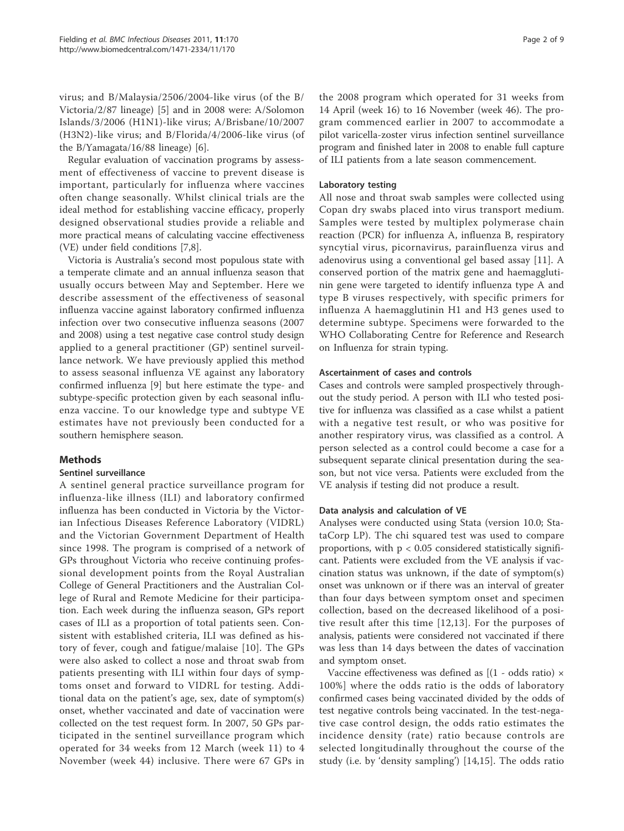virus; and B/Malaysia/2506/2004-like virus (of the B/ Victoria/2/87 lineage) [5] and in 2008 were: A/Solomon Islands/3/2006 (H1N1)-like virus; A/Brisbane/10/2007 (H3N2)-like virus; and B/Florida/4/2006-like virus (of the B/Yamagata/16/88 lineage) [6].

Regular evaluation of vaccination programs by assessment of effectiveness of vaccine to prevent disease is important, particularly for influenza where vaccines often change seasonally. Whilst clinical trials are the ideal method for establishing vaccine efficacy, properly designed observational studies provide a reliable and more practical means of calculating vaccine effectiveness (VE) under field conditions [7,8].

Victoria is Australia's second most populous state with a temperate climate and an annual influenza season that usually occurs between May and September. Here we describe assessment of the effectiveness of seasonal influenza vaccine against laboratory confirmed influenza infection over two consecutive influenza seasons (2007 and 2008) using a test negative case control study design applied to a general practitioner (GP) sentinel surveillance network. We have previously applied this method to assess seasonal influenza VE against any laboratory confirmed influenza [9] but here estimate the type- and subtype-specific protection given by each seasonal influenza vaccine. To our knowledge type and subtype VE estimates have not previously been conducted for a southern hemisphere season.

# Methods

### Sentinel surveillance

A sentinel general practice surveillance program for influenza-like illness (ILI) and laboratory confirmed influenza has been conducted in Victoria by the Victorian Infectious Diseases Reference Laboratory (VIDRL) and the Victorian Government Department of Health since 1998. The program is comprised of a network of GPs throughout Victoria who receive continuing professional development points from the Royal Australian College of General Practitioners and the Australian College of Rural and Remote Medicine for their participation. Each week during the influenza season, GPs report cases of ILI as a proportion of total patients seen. Consistent with established criteria, ILI was defined as history of fever, cough and fatigue/malaise [10]. The GPs were also asked to collect a nose and throat swab from patients presenting with ILI within four days of symptoms onset and forward to VIDRL for testing. Additional data on the patient's age, sex, date of symptom(s) onset, whether vaccinated and date of vaccination were collected on the test request form. In 2007, 50 GPs participated in the sentinel surveillance program which operated for 34 weeks from 12 March (week 11) to 4 November (week 44) inclusive. There were 67 GPs in

the 2008 program which operated for 31 weeks from 14 April (week 16) to 16 November (week 46). The program commenced earlier in 2007 to accommodate a pilot varicella-zoster virus infection sentinel surveillance program and finished later in 2008 to enable full capture of ILI patients from a late season commencement.

#### Laboratory testing

All nose and throat swab samples were collected using Copan dry swabs placed into virus transport medium. Samples were tested by multiplex polymerase chain reaction (PCR) for influenza A, influenza B, respiratory syncytial virus, picornavirus, parainfluenza virus and adenovirus using a conventional gel based assay [11]. A conserved portion of the matrix gene and haemagglutinin gene were targeted to identify influenza type A and type B viruses respectively, with specific primers for influenza A haemagglutinin H1 and H3 genes used to determine subtype. Specimens were forwarded to the WHO Collaborating Centre for Reference and Research on Influenza for strain typing.

#### Ascertainment of cases and controls

Cases and controls were sampled prospectively throughout the study period. A person with ILI who tested positive for influenza was classified as a case whilst a patient with a negative test result, or who was positive for another respiratory virus, was classified as a control. A person selected as a control could become a case for a subsequent separate clinical presentation during the season, but not vice versa. Patients were excluded from the VE analysis if testing did not produce a result.

### Data analysis and calculation of VE

Analyses were conducted using Stata (version 10.0; StataCorp LP). The chi squared test was used to compare proportions, with  $p < 0.05$  considered statistically significant. Patients were excluded from the VE analysis if vaccination status was unknown, if the date of symptom(s) onset was unknown or if there was an interval of greater than four days between symptom onset and specimen collection, based on the decreased likelihood of a positive result after this time [12,13]. For the purposes of analysis, patients were considered not vaccinated if there was less than 14 days between the dates of vaccination and symptom onset.

Vaccine effectiveness was defined as  $[(1 - \text{odds ratio}) \times$ 100%] where the odds ratio is the odds of laboratory confirmed cases being vaccinated divided by the odds of test negative controls being vaccinated. In the test-negative case control design, the odds ratio estimates the incidence density (rate) ratio because controls are selected longitudinally throughout the course of the study (i.e. by 'density sampling') [14,15]. The odds ratio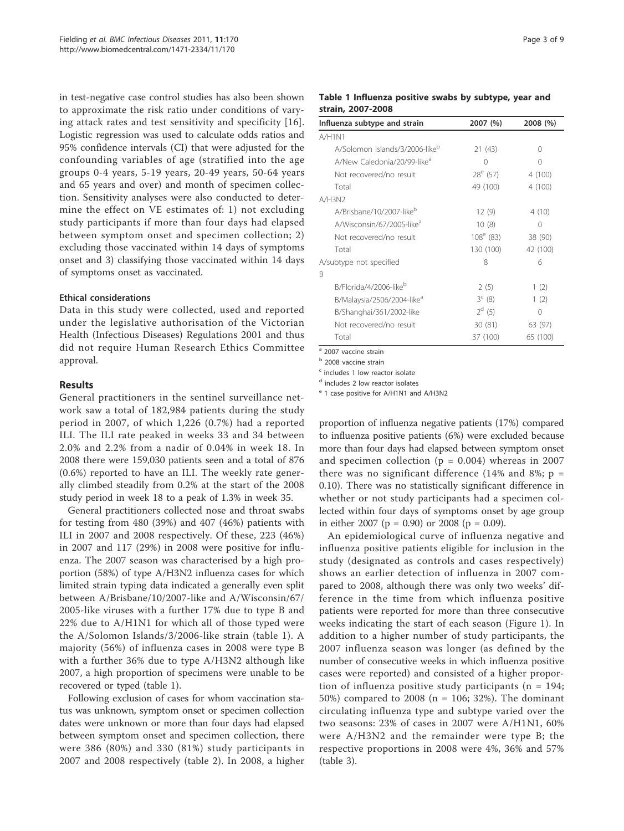in test-negative case control studies has also been shown to approximate the risk ratio under conditions of varying attack rates and test sensitivity and specificity [16]. Logistic regression was used to calculate odds ratios and 95% confidence intervals (CI) that were adjusted for the confounding variables of age (stratified into the age groups 0-4 years, 5-19 years, 20-49 years, 50-64 years and 65 years and over) and month of specimen collection. Sensitivity analyses were also conducted to determine the effect on VE estimates of: 1) not excluding study participants if more than four days had elapsed between symptom onset and specimen collection; 2) excluding those vaccinated within 14 days of symptoms onset and 3) classifying those vaccinated within 14 days of symptoms onset as vaccinated.

# Ethical considerations

Data in this study were collected, used and reported under the legislative authorisation of the Victorian Health (Infectious Diseases) Regulations 2001 and thus did not require Human Research Ethics Committee approval.

# Results

General practitioners in the sentinel surveillance network saw a total of 182,984 patients during the study period in 2007, of which 1,226 (0.7%) had a reported ILI. The ILI rate peaked in weeks 33 and 34 between 2.0% and 2.2% from a nadir of 0.04% in week 18. In 2008 there were 159,030 patients seen and a total of 876 (0.6%) reported to have an ILI. The weekly rate generally climbed steadily from 0.2% at the start of the 2008 study period in week 18 to a peak of 1.3% in week 35.

General practitioners collected nose and throat swabs for testing from 480 (39%) and 407 (46%) patients with ILI in 2007 and 2008 respectively. Of these, 223 (46%) in 2007 and 117 (29%) in 2008 were positive for influenza. The 2007 season was characterised by a high proportion (58%) of type A/H3N2 influenza cases for which limited strain typing data indicated a generally even split between A/Brisbane/10/2007-like and A/Wisconsin/67/ 2005-like viruses with a further 17% due to type B and 22% due to A/H1N1 for which all of those typed were the A/Solomon Islands/3/2006-like strain (table 1). A majority (56%) of influenza cases in 2008 were type B with a further 36% due to type A/H3N2 although like 2007, a high proportion of specimens were unable to be recovered or typed (table 1).

Following exclusion of cases for whom vaccination status was unknown, symptom onset or specimen collection dates were unknown or more than four days had elapsed between symptom onset and specimen collection, there were 386 (80%) and 330 (81%) study participants in 2007 and 2008 respectively (table 2). In 2008, a higher

## Table 1 Influenza positive swabs by subtype, year and strain, 2007-2008

| Influenza subtype and strain            | 2007 (%)     | 2008 (%)  |
|-----------------------------------------|--------------|-----------|
| A/H1N1                                  |              |           |
| A/Solomon Islands/3/2006-likeb          | 21(43)       | $\bigcap$ |
| A/New Caledonia/20/99-like <sup>a</sup> | $\Omega$     | 0         |
| Not recovered/no result                 | $28^e$ (57)  | 4(100)    |
| Total                                   | 49 (100)     | 4(100)    |
| A/H3N2                                  |              |           |
| A/Brisbane/10/2007-likeb                | 12(9)        | 4(10)     |
| A/Wisconsin/67/2005-like <sup>a</sup>   | 10(8)        | 0         |
| Not recovered/no result                 | $108^e$ (83) | 38 (90)   |
| Total                                   | 130 (100)    | 42 (100)  |
| A/subtype not specified                 | 8            | 6         |
| B                                       |              |           |
| B/Florida/4/2006-likeb                  | 2(5)         | 1(2)      |
| B/Malaysia/2506/2004-like <sup>a</sup>  | $3^{c}$ (8)  | 1(2)      |
| B/Shanghai/361/2002-like                | $2^{d}$ (5)  | 0         |
| Not recovered/no result                 | 30(81)       | 63 (97)   |
| Total                                   | 37 (100)     | 65 (100)  |
| <sup>a</sup> 2007 vaccine strain        |              |           |

<sup>b</sup> 2008 vaccine strain

 $c$  includes 1 low reactor isolate

d includes 2 low reactor isolates

<sup>e</sup> 1 case positive for A/H1N1 and A/H3N2

proportion of influenza negative patients (17%) compared to influenza positive patients (6%) were excluded because more than four days had elapsed between symptom onset and specimen collection ( $p = 0.004$ ) whereas in 2007 there was no significant difference (14% and 8%;  $p =$ 0.10). There was no statistically significant difference in whether or not study participants had a specimen collected within four days of symptoms onset by age group in either 2007 ( $p = 0.90$ ) or 2008 ( $p = 0.09$ ).

An epidemiological curve of influenza negative and influenza positive patients eligible for inclusion in the study (designated as controls and cases respectively) shows an earlier detection of influenza in 2007 compared to 2008, although there was only two weeks' difference in the time from which influenza positive patients were reported for more than three consecutive weeks indicating the start of each season (Figure 1). In addition to a higher number of study participants, the 2007 influenza season was longer (as defined by the number of consecutive weeks in which influenza positive cases were reported) and consisted of a higher proportion of influenza positive study participants ( $n = 194$ ; 50%) compared to 2008 (n = 106; 32%). The dominant circulating influenza type and subtype varied over the two seasons: 23% of cases in 2007 were A/H1N1, 60% were A/H3N2 and the remainder were type B; the respective proportions in 2008 were 4%, 36% and 57% (table 3).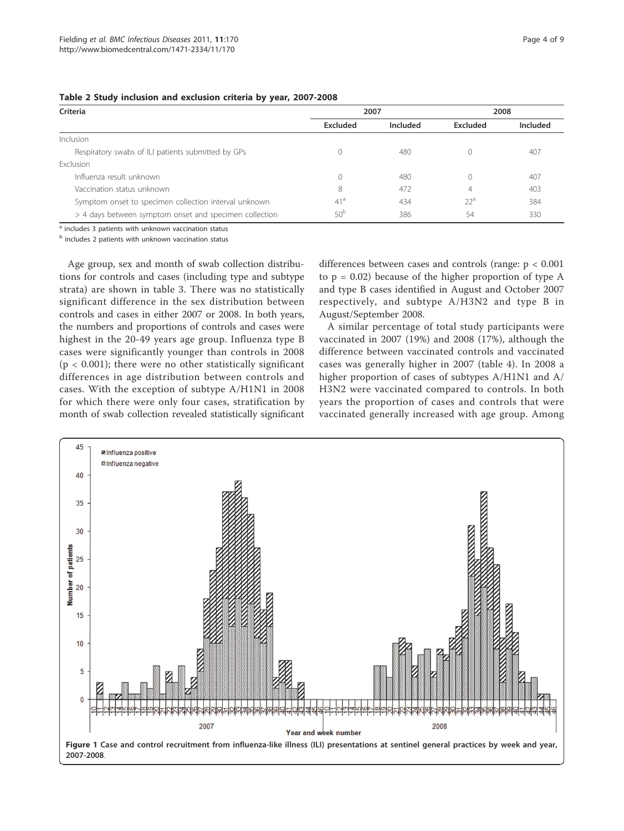#### Table 2 Study inclusion and exclusion criteria by year, 2007-2008

| Criteria                                               | 2007            |          | 2008     |          |
|--------------------------------------------------------|-----------------|----------|----------|----------|
|                                                        | Excluded        | Included | Excluded | Included |
| Inclusion                                              |                 |          |          |          |
| Respiratory swabs of ILI patients submitted by GPs     |                 | 480      |          | 407      |
| <b>Exclusion</b>                                       |                 |          |          |          |
| Influenza result unknown                               |                 | 480      |          | 407      |
| Vaccination status unknown                             | 8               | 472      | Δ        | 403      |
| Symptom onset to specimen collection interval unknown  | 41 <sup>d</sup> | 434      | $22^a$   | 384      |
| > 4 days between symptom onset and specimen collection | 50 <sup>b</sup> | 386      | 54       | 330      |

<sup>a</sup> includes 3 patients with unknown vaccination status

b includes 2 patients with unknown vaccination status

Age group, sex and month of swab collection distributions for controls and cases (including type and subtype strata) are shown in table 3. There was no statistically significant difference in the sex distribution between controls and cases in either 2007 or 2008. In both years, the numbers and proportions of controls and cases were highest in the 20-49 years age group. Influenza type B cases were significantly younger than controls in 2008  $(p < 0.001)$ ; there were no other statistically significant differences in age distribution between controls and cases. With the exception of subtype A/H1N1 in 2008 for which there were only four cases, stratification by month of swab collection revealed statistically significant

differences between cases and controls (range: p < 0.001 to  $p = 0.02$ ) because of the higher proportion of type A and type B cases identified in August and October 2007 respectively, and subtype A/H3N2 and type B in August/September 2008.

A similar percentage of total study participants were vaccinated in 2007 (19%) and 2008 (17%), although the difference between vaccinated controls and vaccinated cases was generally higher in 2007 (table 4). In 2008 a higher proportion of cases of subtypes A/H1N1 and A/ H3N2 were vaccinated compared to controls. In both years the proportion of cases and controls that were vaccinated generally increased with age group. Among

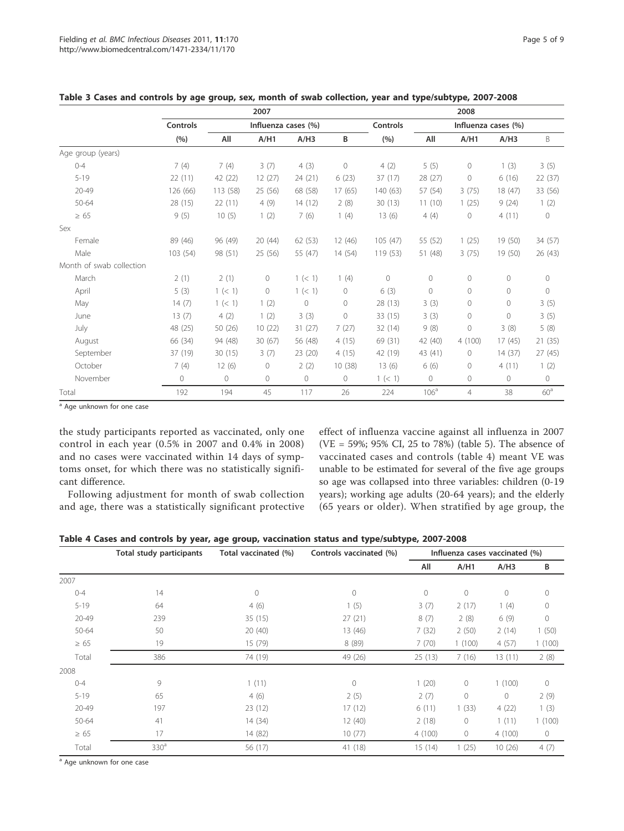|                          | 2007     |          |                     |         | 2008     |          |                     |                |             |                 |
|--------------------------|----------|----------|---------------------|---------|----------|----------|---------------------|----------------|-------------|-----------------|
|                          | Controls |          | Influenza cases (%) |         | Controls |          | Influenza cases (%) |                |             |                 |
|                          | (%)      | All      | A/H1                | A/H3    | B        | (%)      | All                 | A/H1           | A/H3        | B               |
| Age group (years)        |          |          |                     |         |          |          |                     |                |             |                 |
| $0 - 4$                  | 7(4)     | 7(4)     | 3(7)                | 4(3)    | $\circ$  | 4(2)     | 5(5)                | 0              | 1(3)        | 3(5)            |
| $5 - 19$                 | 22(11)   | 42 (22)  | 12(27)              | 24 (21) | 6(23)    | 37(17)   | 28 (27)             | $\overline{0}$ | 6(16)       | 22 (37)         |
| $20 - 49$                | 126 (66) | 113 (58) | 25(56)              | 68 (58) | 17(65)   | 140(63)  | 57 (54)             | 3(75)          | 18(47)      | 33 (56)         |
| $50 - 64$                | 28 (15)  | 22(11)   | 4(9)                | 14(12)  | 2(8)     | 30(13)   | 11(10)              | 1(25)          | 9(24)       | 1(2)            |
| $\geq 65$                | 9(5)     | 10(5)    | 1(2)                | 7(6)    | 1(4)     | 13(6)    | 4(4)                | 0              | 4(11)       | 0               |
| Sex                      |          |          |                     |         |          |          |                     |                |             |                 |
| Female                   | 89 (46)  | 96 (49)  | 20(44)              | 62 (53) | 12 (46)  | 105(47)  | 55 (52)             | 1(25)          | 19 (50)     | 34 (57)         |
| Male                     | 103(54)  | 98 (51)  | 25(56)              | 55 (47) | 14(54)   | 119(53)  | 51 (48)             | 3(75)          | 19 (50)     | 26 (43)         |
| Month of swab collection |          |          |                     |         |          |          |                     |                |             |                 |
| March                    | 2(1)     | 2(1)     | $\circ$             | 1 (< 1) | 1(4)     | $\Omega$ | $\bigcirc$          | $\Omega$       | $\circ$     | 0               |
| April                    | 5(3)     | 1 (< 1)  | $\circ$             | 1 (< 1) | 0        | 6(3)     | $\circ$             | 0              | 0           | 0               |
| May                      | 14(7)    | 1 (< 1)  | 1(2)                | $\circ$ | $\circ$  | 28 (13)  | 3(3)                | $\overline{0}$ | $\circ$     | 3(5)            |
| June                     | 13(7)    | 4(2)     | 1(2)                | 3(3)    | $\circ$  | 33 (15)  | 3(3)                | $\overline{0}$ | $\mathbf 0$ | 3(5)            |
| July                     | 48 (25)  | 50 (26)  | 10(22)              | 31(27)  | 7(27)    | 32 (14)  | 9(8)                | 0              | 3(8)        | 5(8)            |
| August                   | 66 (34)  | 94 (48)  | 30(67)              | 56 (48) | 4(15)    | 69 (31)  | 42 (40)             | 4 (100)        | 17(45)      | 21 (35)         |
| September                | 37 (19)  | 30(15)   | 3(7)                | 23 (20) | 4(15)    | 42 (19)  | 43 (41)             | 0              | 14(37)      | 27(45)          |
| October                  | 7(4)     | 12(6)    | 0                   | 2(2)    | 10(38)   | 13(6)    | 6(6)                | 0              | 4(11)       | 1(2)            |
| November                 | 0        | $\circ$  | 0                   | 0       | $\circ$  | 1 (< 1)  | $\circ$             | 0              | $\circ$     | 0               |
| Total                    | 192      | 194      | 45                  | 117     | 26       | 224      | 106 <sup>a</sup>    | 4              | 38          | 60 <sup>a</sup> |

Table 3 Cases and controls by age group, sex, month of swab collection, year and type/subtype, 2007-2008

<sup>a</sup> Age unknown for one case

the study participants reported as vaccinated, only one control in each year (0.5% in 2007 and 0.4% in 2008) and no cases were vaccinated within 14 days of symptoms onset, for which there was no statistically significant difference.

Following adjustment for month of swab collection and age, there was a statistically significant protective

effect of influenza vaccine against all influenza in 2007 (VE = 59%; 95% CI, 25 to 78%) (table 5). The absence of vaccinated cases and controls (table 4) meant VE was unable to be estimated for several of the five age groups so age was collapsed into three variables: children (0-19 years); working age adults (20-64 years); and the elderly (65 years or older). When stratified by age group, the

Table 4 Cases and controls by year, age group, vaccination status and type/subtype, 2007-2008

|           | Total study participants | Total vaccinated (%) | Controls vaccinated (%) | Influenza cases vaccinated (%) |         |         |              |
|-----------|--------------------------|----------------------|-------------------------|--------------------------------|---------|---------|--------------|
|           |                          |                      |                         | All                            | A/H1    | A/H3    | В            |
| 2007      |                          |                      |                         |                                |         |         |              |
| $0 - 4$   | 14                       | $\circ$              | $\mathbf{0}$            | $\circ$                        | $\circ$ | $\circ$ | $\circ$      |
| $5 - 19$  | 64                       | 4(6)                 | 1(5)                    | 3(7)                           | 2(17)   | 1(4)    | $\mathbf{0}$ |
| 20-49     | 239                      | 35(15)               | 27(21)                  | 8(7)                           | 2(8)    | 6(9)    | $\circ$      |
| 50-64     | 50                       | 20(40)               | 13 (46)                 | 7(32)                          | 2(50)   | 2(14)   | 1(50)        |
| $\geq 65$ | 19                       | 15(79)               | 8(89)                   | 7(70)                          | 1(100)  | 4(57)   | 1(100)       |
| Total     | 386                      | 74 (19)              | 49 (26)                 | 25(13)                         | 7(16)   | 13(11)  | 2(8)         |
| 2008      |                          |                      |                         |                                |         |         |              |
| $0 - 4$   | $\circ$                  | 1(11)                | $\Omega$                | 1(20)                          | $\circ$ | 1(100)  | $\circ$      |
| $5 - 19$  | 65                       | 4(6)                 | 2(5)                    | 2(7)                           | $\circ$ | $\circ$ | 2(9)         |
| $20 - 49$ | 197                      | 23(12)               | 17(12)                  | 6(11)                          | 1(33)   | 4(22)   | 1(3)         |
| 50-64     | 41                       | 14 (34)              | 12(40)                  | 2(18)                          | $\circ$ | 1(11)   | 1(100)       |
| $\geq 65$ | 17                       | 14 (82)              | 10(77)                  | 4(100)                         | $\circ$ | 4(100)  | $\circ$      |
| Total     | 330 <sup>a</sup>         | 56 (17)              | 41 (18)                 | 15(14)                         | 1(25)   | 10(26)  | 4(7)         |

<sup>a</sup> Age unknown for one case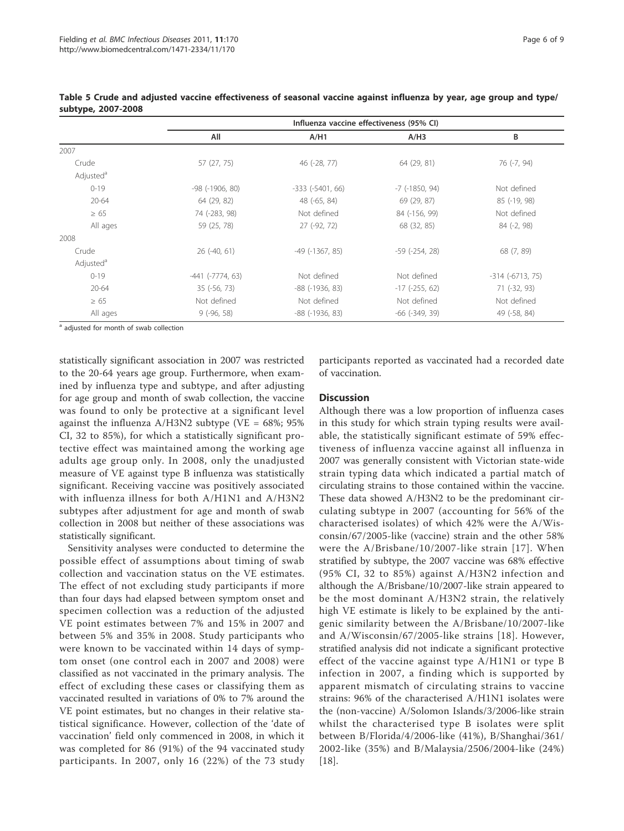|                       | Influenza vaccine effectiveness (95% CI) |                       |                      |                      |  |  |  |
|-----------------------|------------------------------------------|-----------------------|----------------------|----------------------|--|--|--|
|                       | All                                      | A/H1                  | A/H3                 | B                    |  |  |  |
| 2007                  |                                          |                       |                      |                      |  |  |  |
| Crude                 | 57 (27, 75)                              | 46 (-28, 77)          | 64(29, 81)           | 76 (-7, 94)          |  |  |  |
| Adjusted <sup>a</sup> |                                          |                       |                      |                      |  |  |  |
| $0 - 19$              | $-98$ ( $-1906, 80$ )                    | $-333$ $(-5401, 66)$  | $-7$ ( $-1850, 94$ ) | Not defined          |  |  |  |
| $20 - 64$             | 64 (29, 82)                              | 48 (-65, 84)          | 69 (29, 87)          | 85 (-19, 98)         |  |  |  |
| $\geq 65$             | 74 (-283, 98)                            | Not defined           | 84 (-156, 99)        | Not defined          |  |  |  |
| All ages              | 59 (25, 78)                              | 27 (-92, 72)          | 68 (32, 85)          | 84 (-2, 98)          |  |  |  |
| 2008                  |                                          |                       |                      |                      |  |  |  |
| Crude                 | $26$ (-40, 61)                           | $-49$ ( $-1367, 85$ ) | $-59$ $(-254, 28)$   | 68 (7, 89)           |  |  |  |
| Adjusted <sup>a</sup> |                                          |                       |                      |                      |  |  |  |
| $0 - 19$              | $-441$ $(-7774, 63)$                     | Not defined           | Not defined          | $-314$ $(-6713, 75)$ |  |  |  |
| $20 - 64$             | $35(-56, 73)$                            | $-88$ ( $-1936, 83$ ) | $-17$ ( $-255, 62$ ) | $71$ (-32, 93)       |  |  |  |
| $\geq 65$             | Not defined                              | Not defined           | Not defined          | Not defined          |  |  |  |
| All ages              | $9(-96, 58)$                             | $-88$ ( $-1936, 83$ ) | $-66$ $(-349, 39)$   | 49 (-58, 84)         |  |  |  |

Table 5 Crude and adjusted vaccine effectiveness of seasonal vaccine against influenza by year, age group and type/ subtype, 2007-2008

<sup>a</sup> adjusted for month of swab collection

statistically significant association in 2007 was restricted to the 20-64 years age group. Furthermore, when examined by influenza type and subtype, and after adjusting for age group and month of swab collection, the vaccine was found to only be protective at a significant level against the influenza  $A/H3N2$  subtype (VE = 68%; 95%) CI, 32 to 85%), for which a statistically significant protective effect was maintained among the working age adults age group only. In 2008, only the unadjusted measure of VE against type B influenza was statistically significant. Receiving vaccine was positively associated with influenza illness for both A/H1N1 and A/H3N2 subtypes after adjustment for age and month of swab collection in 2008 but neither of these associations was statistically significant.

Sensitivity analyses were conducted to determine the possible effect of assumptions about timing of swab collection and vaccination status on the VE estimates. The effect of not excluding study participants if more than four days had elapsed between symptom onset and specimen collection was a reduction of the adjusted VE point estimates between 7% and 15% in 2007 and between 5% and 35% in 2008. Study participants who were known to be vaccinated within 14 days of symptom onset (one control each in 2007 and 2008) were classified as not vaccinated in the primary analysis. The effect of excluding these cases or classifying them as vaccinated resulted in variations of 0% to 7% around the VE point estimates, but no changes in their relative statistical significance. However, collection of the 'date of vaccination' field only commenced in 2008, in which it was completed for 86 (91%) of the 94 vaccinated study participants. In 2007, only 16 (22%) of the 73 study

participants reported as vaccinated had a recorded date of vaccination.

# **Discussion**

Although there was a low proportion of influenza cases in this study for which strain typing results were available, the statistically significant estimate of 59% effectiveness of influenza vaccine against all influenza in 2007 was generally consistent with Victorian state-wide strain typing data which indicated a partial match of circulating strains to those contained within the vaccine. These data showed A/H3N2 to be the predominant circulating subtype in 2007 (accounting for 56% of the characterised isolates) of which 42% were the A/Wisconsin/67/2005-like (vaccine) strain and the other 58% were the A/Brisbane/10/2007-like strain [17]. When stratified by subtype, the 2007 vaccine was 68% effective (95% CI, 32 to 85%) against A/H3N2 infection and although the A/Brisbane/10/2007-like strain appeared to be the most dominant A/H3N2 strain, the relatively high VE estimate is likely to be explained by the antigenic similarity between the A/Brisbane/10/2007-like and A/Wisconsin/67/2005-like strains [18]. However, stratified analysis did not indicate a significant protective effect of the vaccine against type A/H1N1 or type B infection in 2007, a finding which is supported by apparent mismatch of circulating strains to vaccine strains: 96% of the characterised A/H1N1 isolates were the (non-vaccine) A/Solomon Islands/3/2006-like strain whilst the characterised type B isolates were split between B/Florida/4/2006-like (41%), B/Shanghai/361/ 2002-like (35%) and B/Malaysia/2506/2004-like (24%) [18].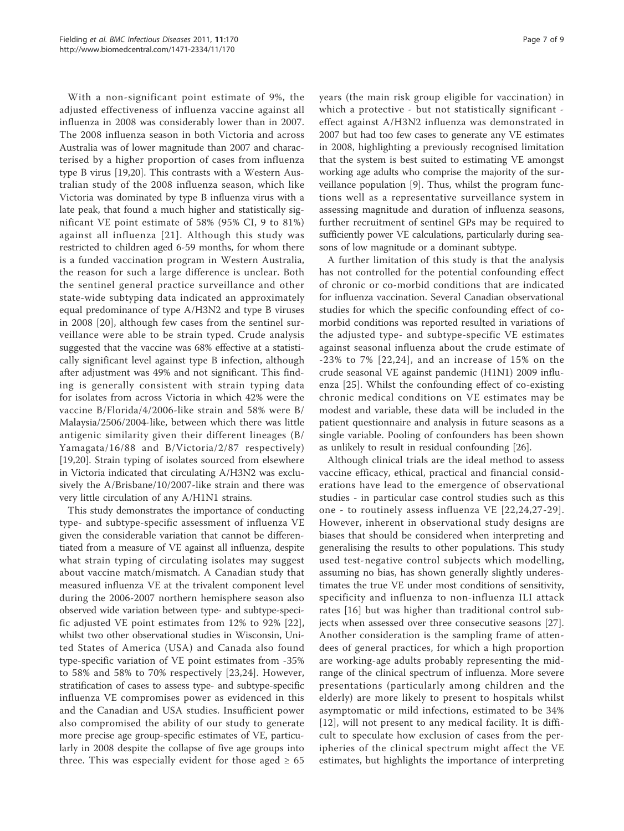With a non-significant point estimate of 9%, the adjusted effectiveness of influenza vaccine against all influenza in 2008 was considerably lower than in 2007. The 2008 influenza season in both Victoria and across Australia was of lower magnitude than 2007 and characterised by a higher proportion of cases from influenza type B virus [19,20]. This contrasts with a Western Australian study of the 2008 influenza season, which like Victoria was dominated by type B influenza virus with a late peak, that found a much higher and statistically significant VE point estimate of 58% (95% CI, 9 to 81%) against all influenza [21]. Although this study was restricted to children aged 6-59 months, for whom there is a funded vaccination program in Western Australia, the reason for such a large difference is unclear. Both the sentinel general practice surveillance and other state-wide subtyping data indicated an approximately equal predominance of type A/H3N2 and type B viruses in 2008 [20], although few cases from the sentinel surveillance were able to be strain typed. Crude analysis suggested that the vaccine was 68% effective at a statistically significant level against type B infection, although after adjustment was 49% and not significant. This finding is generally consistent with strain typing data for isolates from across Victoria in which 42% were the vaccine B/Florida/4/2006-like strain and 58% were B/ Malaysia/2506/2004-like, between which there was little antigenic similarity given their different lineages (B/ Yamagata/16/88 and B/Victoria/2/87 respectively) [19,20]. Strain typing of isolates sourced from elsewhere in Victoria indicated that circulating A/H3N2 was exclusively the A/Brisbane/10/2007-like strain and there was very little circulation of any A/H1N1 strains.

This study demonstrates the importance of conducting type- and subtype-specific assessment of influenza VE given the considerable variation that cannot be differentiated from a measure of VE against all influenza, despite what strain typing of circulating isolates may suggest about vaccine match/mismatch. A Canadian study that measured influenza VE at the trivalent component level during the 2006-2007 northern hemisphere season also observed wide variation between type- and subtype-specific adjusted VE point estimates from 12% to 92% [22], whilst two other observational studies in Wisconsin, United States of America (USA) and Canada also found type-specific variation of VE point estimates from -35% to 58% and 58% to 70% respectively [23,24]. However, stratification of cases to assess type- and subtype-specific influenza VE compromises power as evidenced in this and the Canadian and USA studies. Insufficient power also compromised the ability of our study to generate more precise age group-specific estimates of VE, particularly in 2008 despite the collapse of five age groups into three. This was especially evident for those aged  $\geq 65$  years (the main risk group eligible for vaccination) in which a protective - but not statistically significant effect against A/H3N2 influenza was demonstrated in 2007 but had too few cases to generate any VE estimates in 2008, highlighting a previously recognised limitation that the system is best suited to estimating VE amongst working age adults who comprise the majority of the surveillance population [9]. Thus, whilst the program functions well as a representative surveillance system in assessing magnitude and duration of influenza seasons, further recruitment of sentinel GPs may be required to sufficiently power VE calculations, particularly during seasons of low magnitude or a dominant subtype.

A further limitation of this study is that the analysis has not controlled for the potential confounding effect of chronic or co-morbid conditions that are indicated for influenza vaccination. Several Canadian observational studies for which the specific confounding effect of comorbid conditions was reported resulted in variations of the adjusted type- and subtype-specific VE estimates against seasonal influenza about the crude estimate of -23% to 7% [22,24], and an increase of 15% on the crude seasonal VE against pandemic (H1N1) 2009 influenza [25]. Whilst the confounding effect of co-existing chronic medical conditions on VE estimates may be modest and variable, these data will be included in the patient questionnaire and analysis in future seasons as a single variable. Pooling of confounders has been shown as unlikely to result in residual confounding [26].

Although clinical trials are the ideal method to assess vaccine efficacy, ethical, practical and financial considerations have lead to the emergence of observational studies - in particular case control studies such as this one - to routinely assess influenza VE [22,24,27-29]. However, inherent in observational study designs are biases that should be considered when interpreting and generalising the results to other populations. This study used test-negative control subjects which modelling, assuming no bias, has shown generally slightly underestimates the true VE under most conditions of sensitivity, specificity and influenza to non-influenza ILI attack rates [16] but was higher than traditional control subjects when assessed over three consecutive seasons [27]. Another consideration is the sampling frame of attendees of general practices, for which a high proportion are working-age adults probably representing the midrange of the clinical spectrum of influenza. More severe presentations (particularly among children and the elderly) are more likely to present to hospitals whilst asymptomatic or mild infections, estimated to be 34% [12], will not present to any medical facility. It is difficult to speculate how exclusion of cases from the peripheries of the clinical spectrum might affect the VE estimates, but highlights the importance of interpreting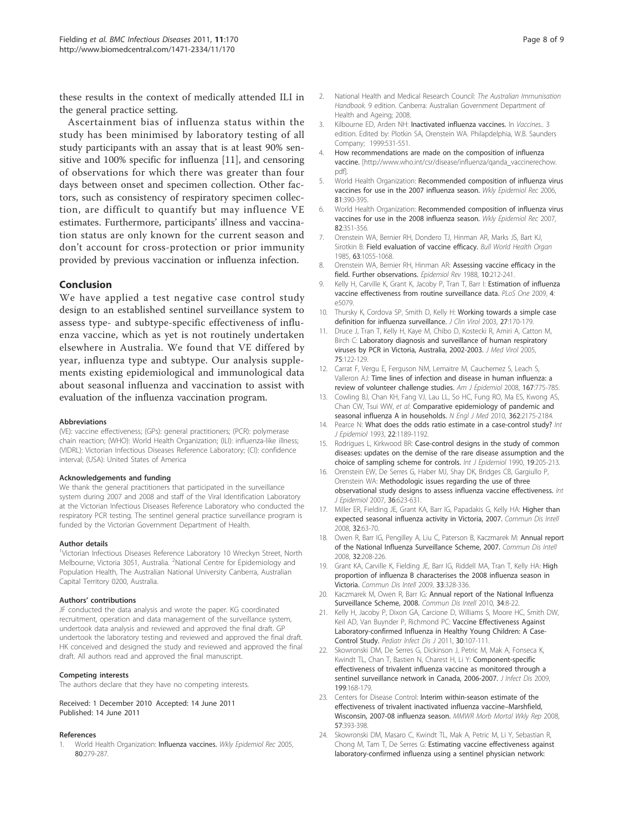these results in the context of medically attended ILI in the general practice setting.

Ascertainment bias of influenza status within the study has been minimised by laboratory testing of all study participants with an assay that is at least 90% sensitive and 100% specific for influenza [11], and censoring of observations for which there was greater than four days between onset and specimen collection. Other factors, such as consistency of respiratory specimen collection, are difficult to quantify but may influence VE estimates. Furthermore, participants' illness and vaccination status are only known for the current season and don't account for cross-protection or prior immunity provided by previous vaccination or influenza infection.

### Conclusion

We have applied a test negative case control study design to an established sentinel surveillance system to assess type- and subtype-specific effectiveness of influenza vaccine, which as yet is not routinely undertaken elsewhere in Australia. We found that VE differed by year, influenza type and subtype. Our analysis supplements existing epidemiological and immunological data about seasonal influenza and vaccination to assist with evaluation of the influenza vaccination program.

#### Abbreviations

(VE): vaccine effectiveness; (GPs): general practitioners; (PCR): polymerase chain reaction; (WHO): World Health Organization; (ILI): influenza-like illness; (VIDRL): Victorian Infectious Diseases Reference Laboratory; (CI): confidence interval; (USA): United States of America

#### Acknowledgements and funding

We thank the general practitioners that participated in the surveillance system during 2007 and 2008 and staff of the Viral Identification Laboratory at the Victorian Infectious Diseases Reference Laboratory who conducted the respiratory PCR testing. The sentinel general practice surveillance program is funded by the Victorian Government Department of Health.

#### Author details

<sup>1</sup>Victorian Infectious Diseases Reference Laboratory 10 Wreckyn Street, North Melbourne, Victoria 3051, Australia. <sup>2</sup>National Centre for Epidemiology and Population Health, The Australian National University Canberra, Australian Capital Territory 0200, Australia.

#### Authors' contributions

JF conducted the data analysis and wrote the paper. KG coordinated recruitment, operation and data management of the surveillance system, undertook data analysis and reviewed and approved the final draft. GP undertook the laboratory testing and reviewed and approved the final draft. HK conceived and designed the study and reviewed and approved the final draft. All authors read and approved the final manuscript.

#### Competing interests

The authors declare that they have no competing interests.

Received: 1 December 2010 Accepted: 14 June 2011 Published: 14 June 2011

#### References

World Health Organization: Influenza vaccines. Wkly Epidemiol Rec 2005, 80:279-287.

- 2. National Health and Medical Research Council: The Australian Immunisation Handbook. 9 edition. Canberra: Australian Government Department of Health and Ageing; 2008.
- 3. Kilbourne ED, Arden NH: Inactivated influenza vaccines. In Vaccines.. 3 edition. Edited by: Plotkin SA, Orenstein WA. Philapdelphia, W.B. Saunders Company; 1999:531-551.
- 4. How recommendations are made on the composition of influenza vaccine. [http://www.who.int/csr/disease/influenza/qanda\_vaccinerechow. pdf].
- 5. World Health Organization: Recommended composition of influenza virus vaccines for use in the 2007 influenza season. Wkly Epidemiol Rec 2006, 81:390-395.
- 6. World Health Organization: Recommended composition of influenza virus vaccines for use in the 2008 influenza season. Wkly Epidemiol Rec 2007, 82:351-356.
- 7. Orenstein WA, Bernier RH, Dondero TJ, Hinman AR, Marks JS, Bart KJ, Sirotkin B: Field evaluation of vaccine efficacy. Bull World Health Organ 1985, 63:1055-1068.
- 8. Orenstein WA, Bernier RH, Hinman AR: Assessing vaccine efficacy in the field. Further observations. Epidemiol Rev 1988, 10:212-241.
- 9. Kelly H, Carville K, Grant K, Jacoby P, Tran T, Barr I: Estimation of influenza vaccine effectiveness from routine surveillance data. PLoS One 2009, 4: e5079.
- 10. Thursky K, Cordova SP, Smith D, Kelly H: Working towards a simple case definition for influenza surveillance. J Clin Virol 2003, 27:170-179.
- 11. Druce J, Tran T, Kelly H, Kaye M, Chibo D, Kostecki R, Amiri A, Catton M, Birch C: Laboratory diagnosis and surveillance of human respiratory viruses by PCR in Victoria, Australia, 2002-2003. J Med Virol 2005, 75:122-129.
- 12. Carrat F, Vergu E, Ferguson NM, Lemaitre M, Cauchemez S, Leach S, Valleron AJ: Time lines of infection and disease in human influenza: a review of volunteer challenge studies. Am J Epidemiol 2008, 167:775-785.
- 13. Cowling BJ, Chan KH, Fang VJ, Lau LL, So HC, Fung RO, Ma ES, Kwong AS, Chan CW, Tsui WW, et al: Comparative epidemiology of pandemic and seasonal influenza A in households. N Engl J Med 2010, 362:2175-2184.
- 14. Pearce N: What does the odds ratio estimate in a case-control study? Int J Epidemiol 1993, 22:1189-1192.
- 15. Rodrigues L, Kirkwood BR: Case-control designs in the study of common diseases: updates on the demise of the rare disease assumption and the choice of sampling scheme for controls. Int J Epidemiol 1990, 19:205-213.
- 16. Orenstein EW, De Serres G, Haber MJ, Shay DK, Bridges CB, Gargiullo P, Orenstein WA: Methodologic issues regarding the use of three observational study designs to assess influenza vaccine effectiveness. Int J Epidemiol 2007, 36:623-631.
- 17. Miller ER, Fielding JE, Grant KA, Barr IG, Papadakis G, Kelly HA: Higher than expected seasonal influenza activity in Victoria, 2007. Commun Dis Intell 2008, 32:63-70.
- 18. Owen R, Barr IG, Pengilley A, Liu C, Paterson B, Kaczmarek M; Annual report of the National Influenza Surveillance Scheme, 2007. Commun Dis Intell 2008, 32:208-226.
- 19. Grant KA, Carville K, Fielding JE, Barr IG, Riddell MA, Tran T, Kelly HA: High proportion of influenza B characterises the 2008 influenza season in Victoria. Commun Dis Intell 2009, 33:328-336.
- 20. Kaczmarek M, Owen R, Barr IG: Annual report of the National Influenza Surveillance Scheme, 2008. Commun Dis Intell 2010, 34:8-22.
- 21. Kelly H, Jacoby P, Dixon GA, Carcione D, Williams S, Moore HC, Smith DW, Keil AD, Van Buynder P, Richmond PC: Vaccine Effectiveness Against Laboratory-confirmed Influenza in Healthy Young Children: A Case-Control Study. Pediatr Infect Dis J 2011, 30:107-111.
- 22. Skowronski DM, De Serres G, Dickinson J, Petric M, Mak A, Fonseca K, Kwindt TL, Chan T, Bastien N, Charest H, Li Y: Component-specific effectiveness of trivalent influenza vaccine as monitored through a sentinel surveillance network in Canada, 2006-2007. J Infect Dis 2009, 199:168-179.
- 23. Centers for Disease Control: Interim within-season estimate of the effectiveness of trivalent inactivated influenza vaccine–Marshfield, Wisconsin, 2007-08 influenza season. MMWR Morb Mortal Wkly Rep 2008, 57:393-398.
- 24. Skowronski DM, Masaro C, Kwindt TL, Mak A, Petric M, Li Y, Sebastian R, Chong M, Tam T, De Serres G: Estimating vaccine effectiveness against laboratory-confirmed influenza using a sentinel physician network: